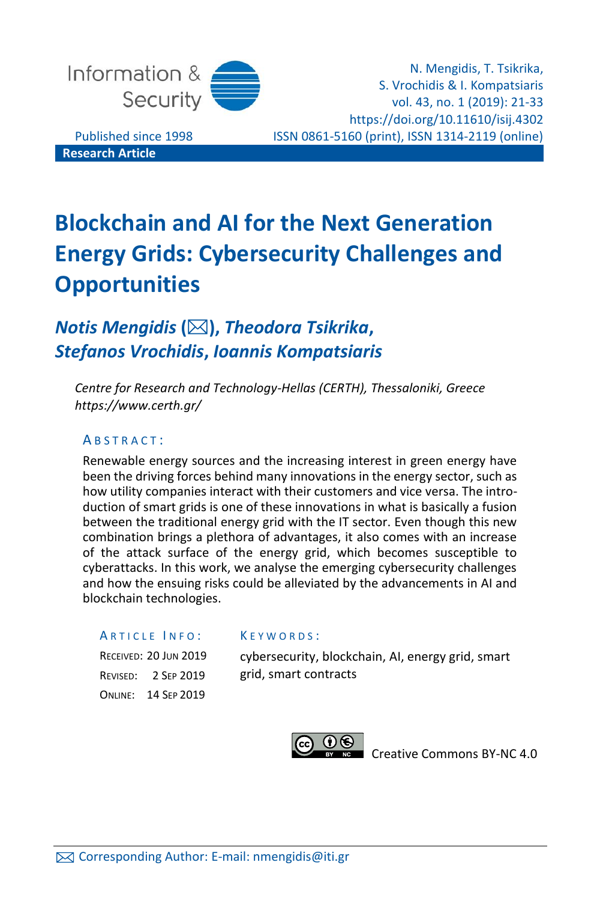

N. Mengidis, T. Tsikrika, S. Vrochidis & I. Kompatsiaris vol. 43, no. 1 (2019): 21-33 https://doi.org/10.11610/isij.4302 Published since 1998 ISSN 0861-5160 (print), ISSN 1314-2119 (online)

**Research Article**

# **Blockchain and AI for the Next Generation Energy Grids: Cybersecurity Challenges and Opportunities**

## *Notis Mengidis* **(),** *Theodora Tsikrika***,**  *Stefanos Vrochidis***,** *Ioannis Kompatsiaris*

*Centre for Research and Technology-Hellas (CERTH), Thessaloniki, Greece https://www.certh.gr/*

#### ABSTRACT:

Renewable energy sources and the increasing interest in green energy have been the driving forces behind many innovations in the energy sector, such as how utility companies interact with their customers and vice versa. The introduction of smart grids is one of these innovations in what is basically a fusion between the traditional energy grid with the IT sector. Even though this new combination brings a plethora of advantages, it also comes with an increase of the attack surface of the energy grid, which becomes susceptible to cyberattacks. In this work, we analyse the emerging cybersecurity challenges and how the ensuing risks could be alleviated by the advancements in AI and blockchain technologies.

K E Y W O R D S :

#### ARTICLE INFO:

RECEIVED: 20 JUN 2019 REVISED: 2 SEP 2019 ONLINE: 14 SEP 2019

cybersecurity, blockchain, AI, energy grid, smart grid, smart contracts



[Creative Commons BY-NC 4.0](https://creativecommons.org/licenses/by-nc/4.0/legalcode)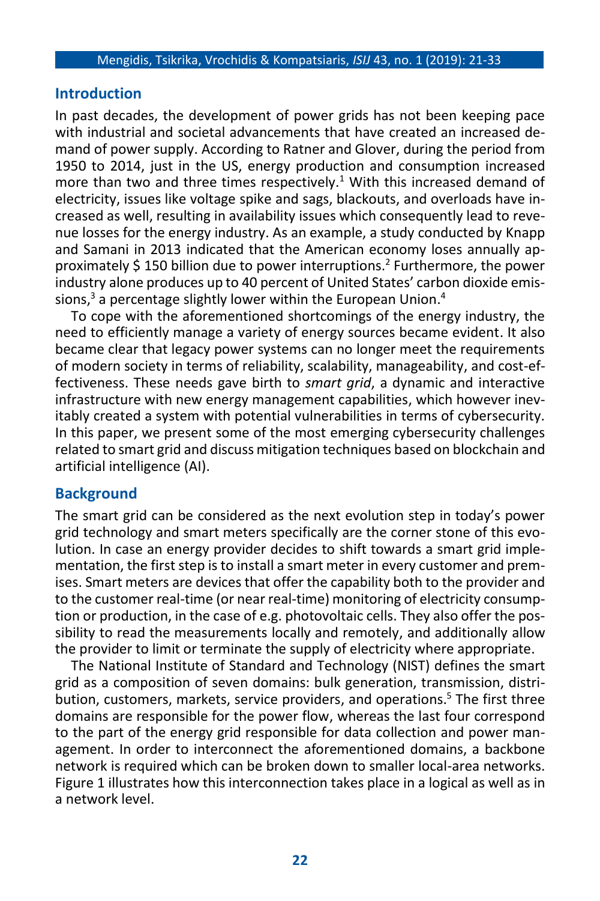#### **Introduction**

In past decades, the development of power grids has not been keeping pace with industrial and societal advancements that have created an increased demand of power supply. According to Ratner and Glover, during the period from 1950 to 2014, just in the US, energy production and consumption increased more than two and three times respectively.<sup>1</sup> With this increased demand of electricity, issues like voltage spike and sags, blackouts, and overloads have increased as well, resulting in availability issues which consequently lead to revenue losses for the energy industry. As an example, a study conducted by Knapp and Samani in 2013 indicated that the American economy loses annually approximately \$ 150 billion due to power interruptions.<sup>2</sup> Furthermore, the power industry alone produces up to 40 percent of United States' carbon dioxide emissions, <sup>3</sup> a percentage slightly lower within the European Union. 4

To cope with the aforementioned shortcomings of the energy industry, the need to efficiently manage a variety of energy sources became evident. It also became clear that legacy power systems can no longer meet the requirements of modern society in terms of reliability, scalability, manageability, and cost-effectiveness. These needs gave birth to *smart grid*, a dynamic and interactive infrastructure with new energy management capabilities, which however inevitably created a system with potential vulnerabilities in terms of cybersecurity. In this paper, we present some of the most emerging cybersecurity challenges related to smart grid and discuss mitigation techniques based on blockchain and artificial intelligence (AI).

#### **Background**

The smart grid can be considered as the next evolution step in today's power grid technology and smart meters specifically are the corner stone of this evolution. In case an energy provider decides to shift towards a smart grid implementation, the first step is to install a smart meter in every customer and premises. Smart meters are devices that offer the capability both to the provider and to the customer real-time (or near real-time) monitoring of electricity consumption or production, in the case of e.g. photovoltaic cells. They also offer the possibility to read the measurements locally and remotely, and additionally allow the provider to limit or terminate the supply of electricity where appropriate.

The National Institute of Standard and Technology (NIST) defines the smart grid as a composition of seven domains: bulk generation, transmission, distribution, customers, markets, service providers, and operations. <sup>5</sup> The first three domains are responsible for the power flow, whereas the last four correspond to the part of the energy grid responsible for data collection and power management. In order to interconnect the aforementioned domains, a backbone network is required which can be broken down to smaller local-area networks. Figure 1 illustrates how this interconnection takes place in a logical as well as in a network level.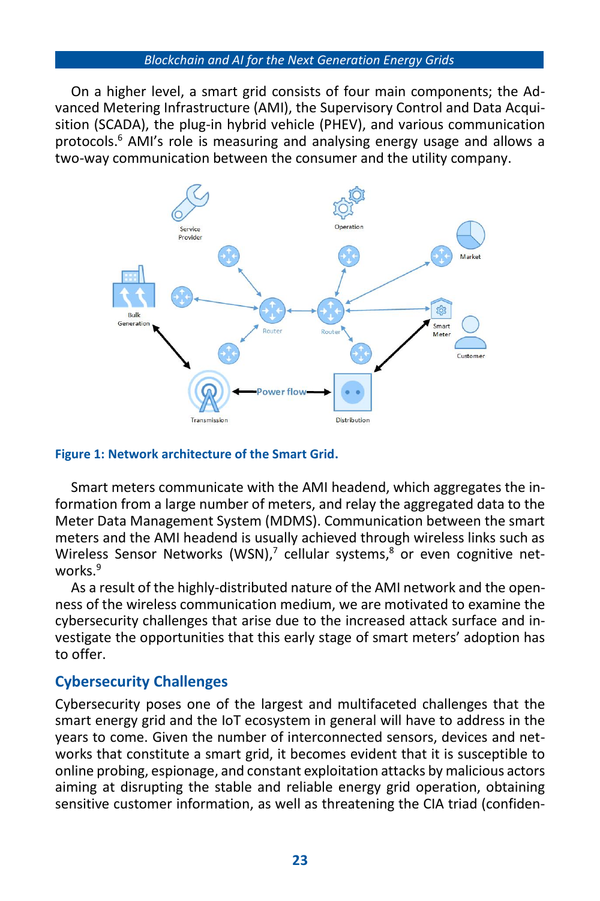#### *Blockchain and AI for the Next Generation Energy Grids*

On a higher level, a smart grid consists of four main components; the Advanced Metering Infrastructure (AMI), the Supervisory Control and Data Acquisition (SCADA), the plug-in hybrid vehicle (PHEV), and various communication protocols. <sup>6</sup> AMI's role is measuring and analysing energy usage and allows a two-way communication between the consumer and the utility company.



#### **Figure 1: Network architecture of the Smart Grid.**

Smart meters communicate with the AMI headend, which aggregates the information from a large number of meters, and relay the aggregated data to the Meter Data Management System (MDMS). Communication between the smart meters and the AMI headend is usually achieved through wireless links such as Wireless Sensor Networks (WSN),<sup>7</sup> cellular systems,<sup>8</sup> or even cognitive networks. 9

As a result of the highly-distributed nature of the AMI network and the openness of the wireless communication medium, we are motivated to examine the cybersecurity challenges that arise due to the increased attack surface and investigate the opportunities that this early stage of smart meters' adoption has to offer.

## **Cybersecurity Challenges**

Cybersecurity poses one of the largest and multifaceted challenges that the smart energy grid and the IoT ecosystem in general will have to address in the years to come. Given the number of interconnected sensors, devices and networks that constitute a smart grid, it becomes evident that it is susceptible to online probing, espionage, and constant exploitation attacks by malicious actors aiming at disrupting the stable and reliable energy grid operation, obtaining sensitive customer information, as well as threatening the CIA triad (confiden-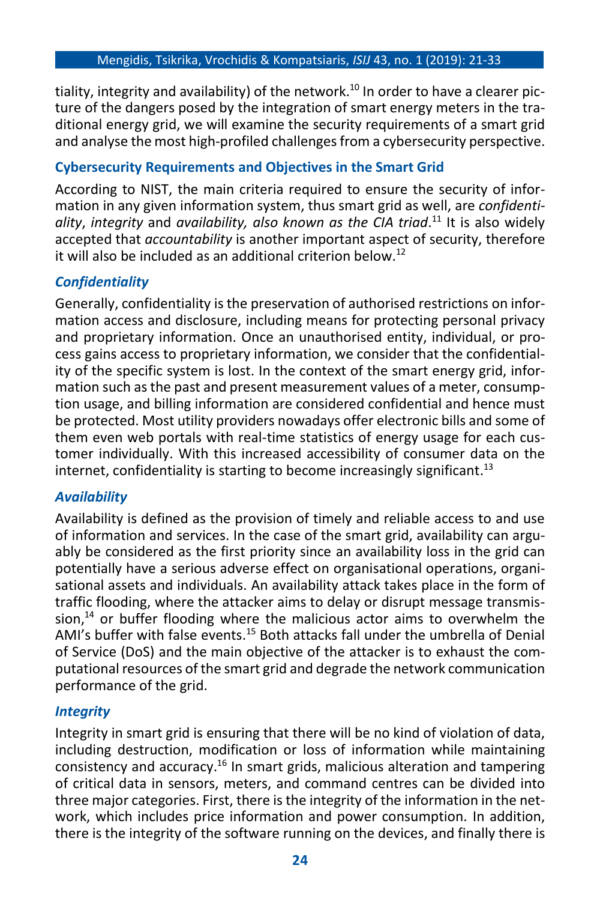tiality, integrity and availability) of the network. <sup>10</sup> In order to have a clearer picture of the dangers posed by the integration of smart energy meters in the traditional energy grid, we will examine the security requirements of a smart grid and analyse the most high-profiled challenges from a cybersecurity perspective.

## **Cybersecurity Requirements and Objectives in the Smart Grid**

According to NIST, the main criteria required to ensure the security of information in any given information system, thus smart grid as well, are *confidentiality*, *integrity* and *availability, also known as the CIA triad*. <sup>11</sup> It is also widely accepted that *accountability* is another important aspect of security, therefore it will also be included as an additional criterion below. 12

## *Confidentiality*

Generally, confidentiality is the preservation of authorised restrictions on information access and disclosure, including means for protecting personal privacy and proprietary information. Once an unauthorised entity, individual, or process gains access to proprietary information, we consider that the confidentiality of the specific system is lost. In the context of the smart energy grid, information such as the past and present measurement values of a meter, consumption usage, and billing information are considered confidential and hence must be protected. Most utility providers nowadays offer electronic bills and some of them even web portals with real-time statistics of energy usage for each customer individually. With this increased accessibility of consumer data on the internet, confidentiality is starting to become increasingly significant. $^{13}$ 

## *Availability*

Availability is defined as the provision of timely and reliable access to and use of information and services. In the case of the smart grid, availability can arguably be considered as the first priority since an availability loss in the grid can potentially have a serious adverse effect on organisational operations, organisational assets and individuals. An availability attack takes place in the form of traffic flooding, where the attacker aims to delay or disrupt message transmis- $\sinh^{14}$  or buffer flooding where the malicious actor aims to overwhelm the AMI's buffer with false events.<sup>15</sup> Both attacks fall under the umbrella of Denial of Service (DoS) and the main objective of the attacker is to exhaust the computational resources of the smart grid and degrade the network communication performance of the grid.

## *Integrity*

Integrity in smart grid is ensuring that there will be no kind of violation of data, including destruction, modification or loss of information while maintaining consistency and accuracy.<sup>16</sup> In smart grids, malicious alteration and tampering of critical data in sensors, meters, and command centres can be divided into three major categories. First, there is the integrity of the information in the network, which includes price information and power consumption. In addition, there is the integrity of the software running on the devices, and finally there is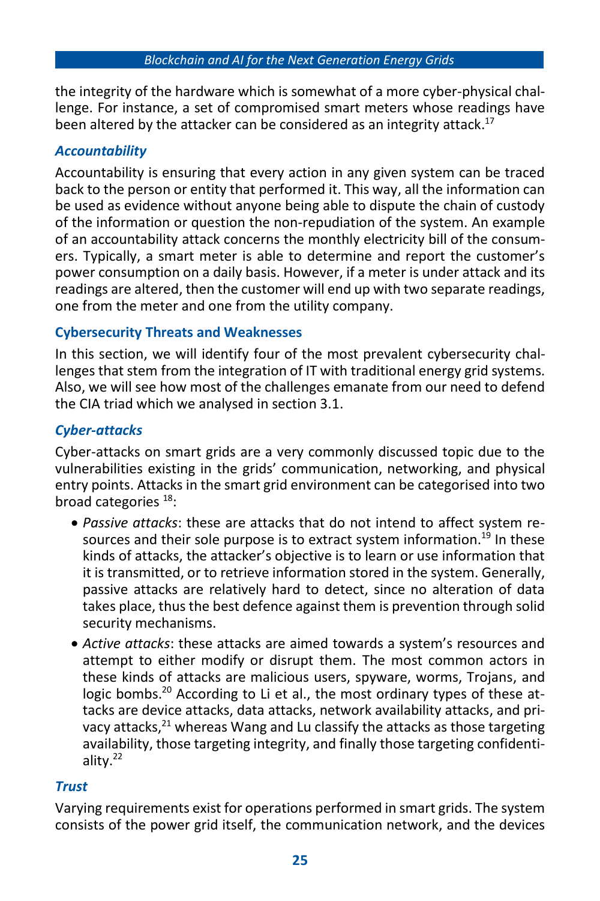the integrity of the hardware which is somewhat of a more cyber-physical challenge. For instance, a set of compromised smart meters whose readings have been altered by the attacker can be considered as an integrity attack. 17

## *Accountability*

Accountability is ensuring that every action in any given system can be traced back to the person or entity that performed it. This way, all the information can be used as evidence without anyone being able to dispute the chain of custody of the information or question the non-repudiation of the system. An example of an accountability attack concerns the monthly electricity bill of the consumers. Typically, a smart meter is able to determine and report the customer's power consumption on a daily basis. However, if a meter is under attack and its readings are altered, then the customer will end up with two separate readings, one from the meter and one from the utility company.

## **Cybersecurity Threats and Weaknesses**

In this section, we will identify four of the most prevalent cybersecurity challenges that stem from the integration of IT with traditional energy grid systems. Also, we will see how most of the challenges emanate from our need to defend the CIA triad which we analysed in section 3.1.

## *Cyber-attacks*

Cyber-attacks on smart grids are a very commonly discussed topic due to the vulnerabilities existing in the grids' communication, networking, and physical entry points. Attacks in the smart grid environment can be categorised into two broad categories <sup>18</sup>:

- *Passive attacks*: these are attacks that do not intend to affect system resources and their sole purpose is to extract system information.<sup>19</sup> In these kinds of attacks, the attacker's objective is to learn or use information that it is transmitted, or to retrieve information stored in the system. Generally, passive attacks are relatively hard to detect, since no alteration of data takes place, thus the best defence against them is prevention through solid security mechanisms.
- *Active attacks*: these attacks are aimed towards a system's resources and attempt to either modify or disrupt them. The most common actors in these kinds of attacks are malicious users, spyware, worms, Trojans, and logic bombs.<sup>20</sup> According to Li et al., the most ordinary types of these attacks are device attacks, data attacks, network availability attacks, and privacy attacks,<sup>21</sup> whereas Wang and Lu classify the attacks as those targeting availability, those targeting integrity, and finally those targeting confidentiality.<sup>22</sup>

## *Trust*

Varying requirements exist for operations performed in smart grids. The system consists of the power grid itself, the communication network, and the devices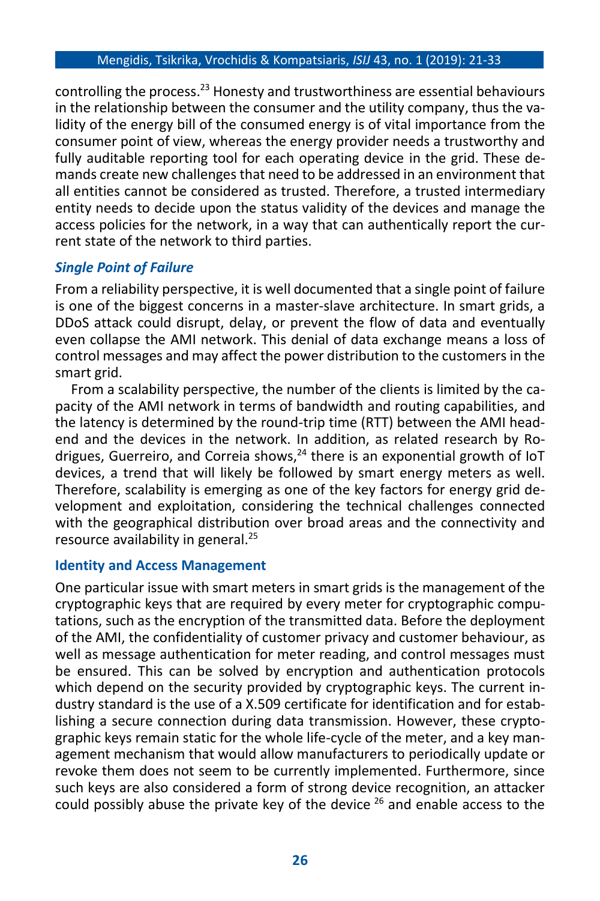#### Mengidis, Tsikrika, Vrochidis & Kompatsiaris, *ISIJ* 43, no. 1 (2019): 21-33

controlling the process.<sup>23</sup> Honesty and trustworthiness are essential behaviours in the relationship between the consumer and the utility company, thus the validity of the energy bill of the consumed energy is of vital importance from the consumer point of view, whereas the energy provider needs a trustworthy and fully auditable reporting tool for each operating device in the grid. These demands create new challenges that need to be addressed in an environment that all entities cannot be considered as trusted. Therefore, a trusted intermediary entity needs to decide upon the status validity of the devices and manage the access policies for the network, in a way that can authentically report the current state of the network to third parties.

## *Single Point of Failure*

From a reliability perspective, it is well documented that a single point of failure is one of the biggest concerns in a master-slave architecture. In smart grids, a DDoS attack could disrupt, delay, or prevent the flow of data and eventually even collapse the AMI network. This denial of data exchange means a loss of control messages and may affect the power distribution to the customers in the smart grid.

From a scalability perspective, the number of the clients is limited by the capacity of the AMI network in terms of bandwidth and routing capabilities, and the latency is determined by the round-trip time (RTT) between the AMI headend and the devices in the network. In addition, as related research by Rodrigues, Guerreiro, and Correia shows,<sup>24</sup> there is an exponential growth of IoT devices, a trend that will likely be followed by smart energy meters as well. Therefore, scalability is emerging as one of the key factors for energy grid development and exploitation, considering the technical challenges connected with the geographical distribution over broad areas and the connectivity and resource availability in general. 25

#### **Identity and Access Management**

One particular issue with smart meters in smart grids is the management of the cryptographic keys that are required by every meter for cryptographic computations, such as the encryption of the transmitted data. Before the deployment of the AMI, the confidentiality of customer privacy and customer behaviour, as well as message authentication for meter reading, and control messages must be ensured. This can be solved by encryption and authentication protocols which depend on the security provided by cryptographic keys. The current industry standard is the use of a X.509 certificate for identification and for establishing a secure connection during data transmission. However, these cryptographic keys remain static for the whole life-cycle of the meter, and a key management mechanism that would allow manufacturers to periodically update or revoke them does not seem to be currently implemented. Furthermore, since such keys are also considered a form of strong device recognition, an attacker could possibly abuse the private key of the device <sup>26</sup> and enable access to the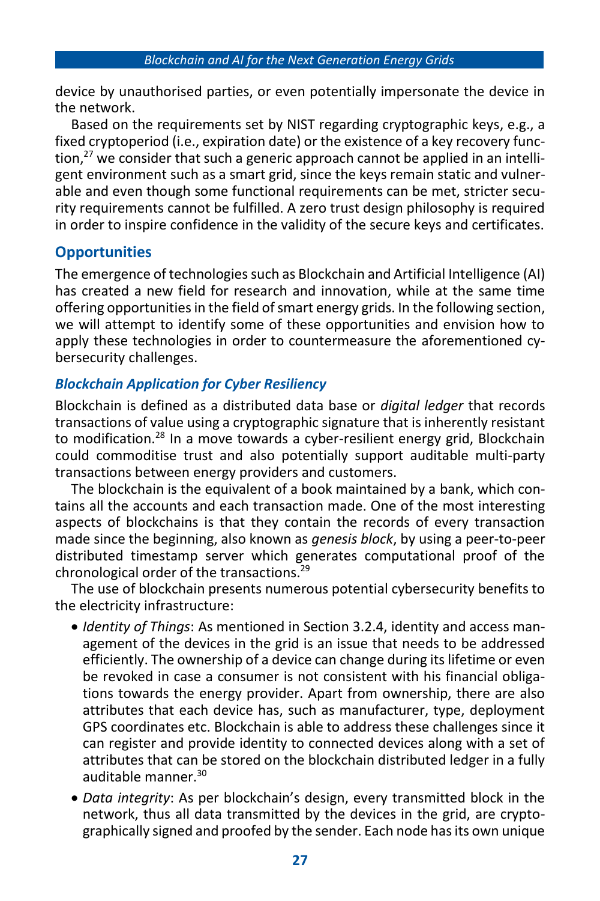device by unauthorised parties, or even potentially impersonate the device in the network.

Based on the requirements set by NIST regarding cryptographic keys, e.g., a fixed cryptoperiod (i.e., expiration date) or the existence of a key recovery function, <sup>27</sup> we consider that such a generic approach cannot be applied in an intelligent environment such as a smart grid, since the keys remain static and vulnerable and even though some functional requirements can be met, stricter security requirements cannot be fulfilled. A zero trust design philosophy is required in order to inspire confidence in the validity of the secure keys and certificates.

## **Opportunities**

The emergence of technologies such as Blockchain and Artificial Intelligence (AI) has created a new field for research and innovation, while at the same time offering opportunities in the field of smart energy grids. In the following section, we will attempt to identify some of these opportunities and envision how to apply these technologies in order to countermeasure the aforementioned cybersecurity challenges.

## *Blockchain Application for Cyber Resiliency*

Blockchain is defined as a distributed data base or *digital ledger* that records transactions of value using a cryptographic signature that is inherently resistant to modification.<sup>28</sup> In a move towards a cyber-resilient energy grid, Blockchain could commoditise trust and also potentially support auditable multi-party transactions between energy providers and customers.

The blockchain is the equivalent of a book maintained by a bank, which contains all the accounts and each transaction made. One of the most interesting aspects of blockchains is that they contain the records of every transaction made since the beginning, also known as *genesis block*, by using a peer-to-peer distributed timestamp server which generates computational proof of the chronological order of the transactions. 29

The use of blockchain presents numerous potential cybersecurity benefits to the electricity infrastructure:

- *Identity of Things*: As mentioned in Section 3.2.4, identity and access management of the devices in the grid is an issue that needs to be addressed efficiently. The ownership of a device can change during its lifetime or even be revoked in case a consumer is not consistent with his financial obligations towards the energy provider. Apart from ownership, there are also attributes that each device has, such as manufacturer, type, deployment GPS coordinates etc. Blockchain is able to address these challenges since it can register and provide identity to connected devices along with a set of attributes that can be stored on the blockchain distributed ledger in a fully auditable manner. 30
- *Data integrity*: As per blockchain's design, every transmitted block in the network, thus all data transmitted by the devices in the grid, are cryptographically signed and proofed by the sender. Each node has its own unique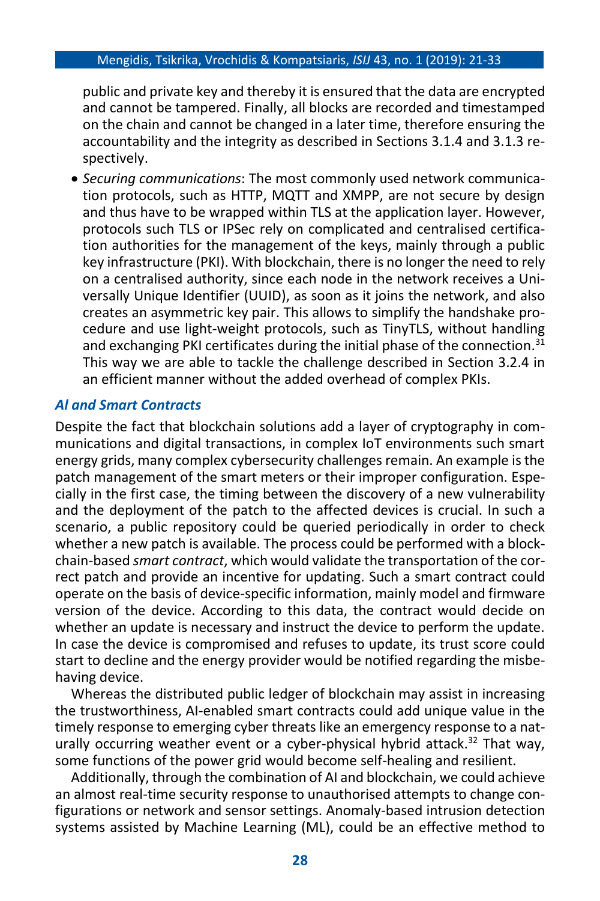#### Mengidis, Tsikrika, Vrochidis & Kompatsiaris, *ISIJ* 43, no. 1 (2019): 21-33

public and private key and thereby it is ensured that the data are encrypted and cannot be tampered. Finally, all blocks are recorded and timestamped on the chain and cannot be changed in a later time, therefore ensuring the accountability and the integrity as described in Sections 3.1.4 and 3.1.3 respectively.

• *Securing communications*: The most commonly used network communication protocols, such as HTTP, MQTT and XMPP, are not secure by design and thus have to be wrapped within TLS at the application layer. However, protocols such TLS or IPSec rely on complicated and centralised certification authorities for the management of the keys, mainly through a public key infrastructure (PKI). With blockchain, there is no longer the need to rely on a centralised authority, since each node in the network receives a Universally Unique Identifier (UUID), as soon as it joins the network, and also creates an asymmetric key pair. This allows to simplify the handshake procedure and use light-weight protocols, such as TinyTLS, without handling and exchanging PKI certificates during the initial phase of the connection.<sup>31</sup> This way we are able to tackle the challenge described in Section 3.2.4 in an efficient manner without the added overhead of complex PKIs.

#### *Al and Smart Contracts*

Despite the fact that blockchain solutions add a layer of cryptography in communications and digital transactions, in complex IoT environments such smart energy grids, many complex cybersecurity challenges remain. An example is the patch management of the smart meters or their improper configuration. Especially in the first case, the timing between the discovery of a new vulnerability and the deployment of the patch to the affected devices is crucial. In such a scenario, a public repository could be queried periodically in order to check whether a new patch is available. The process could be performed with a blockchain-based *smart contract*, which would validate the transportation of the correct patch and provide an incentive for updating. Such a smart contract could operate on the basis of device-specific information, mainly model and firmware version of the device. According to this data, the contract would decide on whether an update is necessary and instruct the device to perform the update. In case the device is compromised and refuses to update, its trust score could start to decline and the energy provider would be notified regarding the misbehaving device.

Whereas the distributed public ledger of blockchain may assist in increasing the trustworthiness, AI-enabled smart contracts could add unique value in the timely response to emerging cyber threats like an emergency response to a naturally occurring weather event or a cyber-physical hybrid attack.<sup>32</sup> That way, some functions of the power grid would become self-healing and resilient.

Additionally, through the combination of AI and blockchain, we could achieve an almost real-time security response to unauthorised attempts to change configurations or network and sensor settings. Anomaly-based intrusion detection systems assisted by Machine Learning (ML), could be an effective method to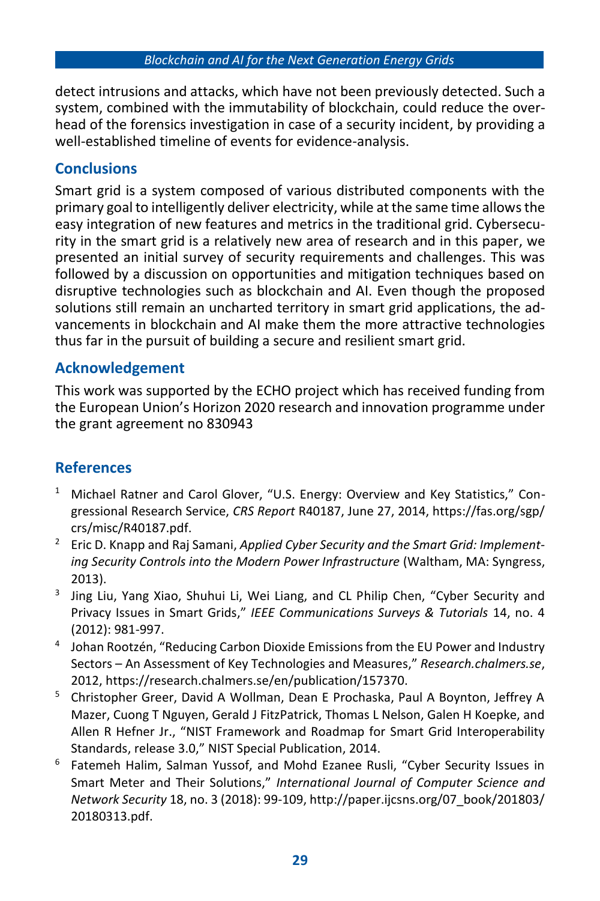detect intrusions and attacks, which have not been previously detected. Such a system, combined with the immutability of blockchain, could reduce the overhead of the forensics investigation in case of a security incident, by providing a well-established timeline of events for evidence-analysis.

## **Conclusions**

Smart grid is a system composed of various distributed components with the primary goal to intelligently deliver electricity, while at the same time allowsthe easy integration of new features and metrics in the traditional grid. Cybersecurity in the smart grid is a relatively new area of research and in this paper, we presented an initial survey of security requirements and challenges. This was followed by a discussion on opportunities and mitigation techniques based on disruptive technologies such as blockchain and AI. Even though the proposed solutions still remain an uncharted territory in smart grid applications, the advancements in blockchain and AI make them the more attractive technologies thus far in the pursuit of building a secure and resilient smart grid.

## **Acknowledgement**

This work was supported by the ECHO project which has received funding from the European Union's Horizon 2020 research and innovation programme under the grant agreement no 830943

## **References**

- <sup>1</sup> Michael Ratner and Carol Glover, "U.S. Energy: Overview and Key Statistics," Congressional Research Service, *CRS Report* R40187, June 27, 2014, https://fas.org/sgp/ crs/misc/R40187.pdf.
- <sup>2</sup> Eric D. Knapp and Raj Samani, *Applied Cyber Security and the Smart Grid: Implementing Security Controls into the Modern Power Infrastructure* (Waltham, MA: Syngress, 2013).
- <sup>3</sup> Jing Liu, Yang Xiao, Shuhui Li, Wei Liang, and CL Philip Chen, "Cyber Security and Privacy Issues in Smart Grids," *IEEE Communications Surveys & Tutorials* 14, no. 4 (2012): 981-997.
- <sup>4</sup> Johan Rootzén, "Reducing Carbon Dioxide Emissions from the EU Power and Industry Sectors – An Assessment of Key Technologies and Measures," *Research.chalmers.se*, 2012, https://research.chalmers.se/en/publication/157370.
- <sup>5</sup> Christopher Greer, David A Wollman, Dean E Prochaska, Paul A Boynton, Jeffrey A Mazer, Cuong T Nguyen, Gerald J FitzPatrick, Thomas L Nelson, Galen H Koepke, and Allen R Hefner Jr., "NIST Framework and Roadmap for Smart Grid Interoperability Standards, release 3.0," NIST Special Publication, 2014.
- <sup>6</sup> Fatemeh Halim, Salman Yussof, and Mohd Ezanee Rusli, "Cyber Security Issues in Smart Meter and Their Solutions," *International Journal of Computer Science and Network Security* 18, no. 3 (2018): 99-109, http://paper.ijcsns.org/07\_book/201803/ 20180313.pdf.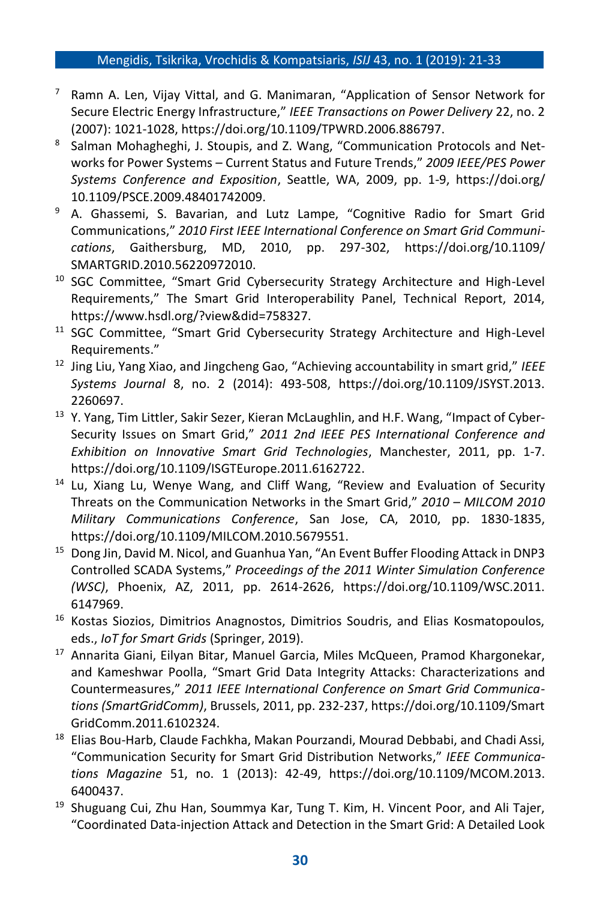#### Mengidis, Tsikrika, Vrochidis & Kompatsiaris, *ISIJ* 43, no. 1 (2019): 21-33

- $7$  Ramn A. Len, Vijay Vittal, and G. Manimaran, "Application of Sensor Network for Secure Electric Energy Infrastructure," *IEEE Transactions on Power Delivery* 22, no. 2 (2007): 1021-1028, https://doi.org/10.1109/TPWRD.2006.886797.
- 8 Salman Mohagheghi, J. Stoupis, and Z. Wang, "Communication Protocols and Networks for Power Systems – Current Status and Future Trends," *2009 IEEE/PES Power Systems Conference and Exposition*, Seattle, WA, 2009, pp. 1-9, https://doi.org/ 10.1109/PSCE.2009.48401742009.
- <sup>9</sup> A. Ghassemi, S. Bavarian, and Lutz Lampe, "Cognitive Radio for Smart Grid Communications," *2010 First IEEE International Conference on Smart Grid Communications*, Gaithersburg, MD, 2010, pp. 297-302, https://doi.org/10.1109/ SMARTGRID.2010.56220972010.
- <sup>10</sup> SGC Committee, "Smart Grid Cybersecurity Strategy Architecture and High-Level Requirements," The Smart Grid Interoperability Panel, Technical Report, 2014, https://www.hsdl.org/?view&did=758327.
- <sup>11</sup> SGC Committee, "Smart Grid Cybersecurity Strategy Architecture and High-Level Requirements."
- <sup>12</sup> Jing Liu, Yang Xiao, and Jingcheng Gao, "Achieving accountability in smart grid," *IEEE Systems Journal* 8, no. 2 (2014): 493-508, https://doi.org/10.1109/JSYST.2013. 2260697.
- <sup>13</sup> Y. Yang, Tim Littler, Sakir Sezer, Kieran McLaughlin, and H.F. Wang, "Impact of Cyber-Security Issues on Smart Grid," *2011 2nd IEEE PES International Conference and Exhibition on Innovative Smart Grid Technologies*, Manchester, 2011, pp. 1-7. https://doi.org/10.1109/ISGTEurope.2011.6162722.
- <sup>14</sup> Lu, Xiang Lu, Wenye Wang, and Cliff Wang, "Review and Evaluation of Security Threats on the Communication Networks in the Smart Grid," *2010 – MILCOM 2010 Military Communications Conference*, San Jose, CA, 2010, pp. 1830-1835, https://doi.org/10.1109/MILCOM.2010.5679551.
- <sup>15</sup> Dong Jin, David M. Nicol, and Guanhua Yan, "An Event Buffer Flooding Attack in DNP3 Controlled SCADA Systems," *Proceedings of the 2011 Winter Simulation Conference (WSC)*, Phoenix, AZ, 2011, pp. 2614-2626, https://doi.org/10.1109/WSC.2011. 6147969.
- <sup>16</sup> Kostas Siozios, Dimitrios Anagnostos, Dimitrios Soudris, and Elias Kosmatopoulos, eds., *IoT for Smart Grids* (Springer, 2019).
- <sup>17</sup> Annarita Giani, Eilyan Bitar, Manuel Garcia, Miles McQueen, Pramod Khargonekar, and Kameshwar Poolla, "Smart Grid Data Integrity Attacks: Characterizations and Countermeasures," *2011 IEEE International Conference on Smart Grid Communications (SmartGridComm)*, Brussels, 2011, pp. 232-237, https://doi.org/10.1109/Smart GridComm.2011.6102324.
- <sup>18</sup> Elias Bou-Harb, Claude Fachkha, Makan Pourzandi, Mourad Debbabi, and Chadi Assi, "Communication Security for Smart Grid Distribution Networks," *IEEE Communications Magazine* 51, no. 1 (2013): 42-49, https://doi.org/10.1109/MCOM.2013. 6400437.
- <sup>19</sup> Shuguang Cui, Zhu Han, Soummya Kar, Tung T. Kim, H. Vincent Poor, and Ali Tajer, "Coordinated Data-injection Attack and Detection in the Smart Grid: A Detailed Look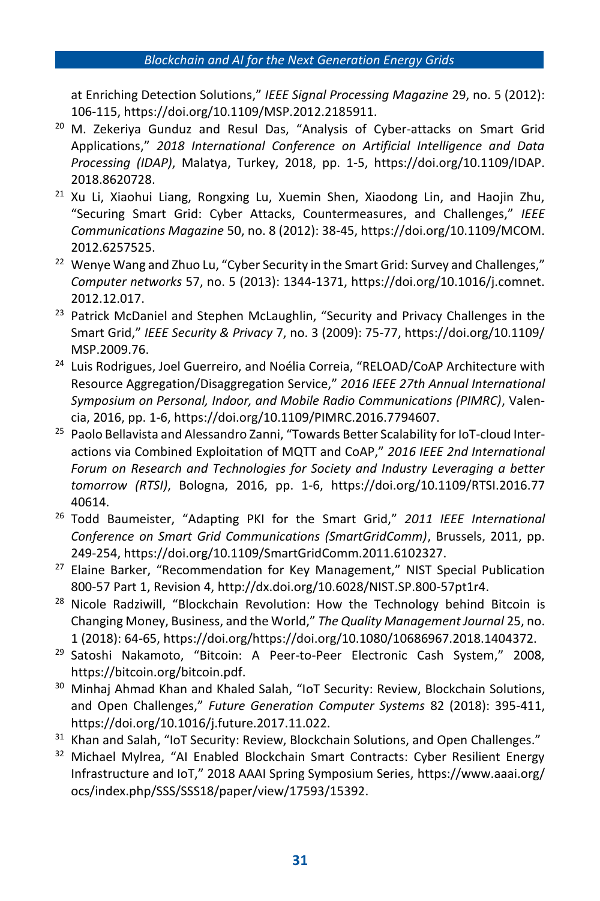#### *Blockchain and AI for the Next Generation Energy Grids*

at Enriching Detection Solutions," *IEEE Signal Processing Magazine* 29, no. 5 (2012): 106-115, https://doi.org/10.1109/MSP.2012.2185911.

- <sup>20</sup> M. Zekeriya Gunduz and Resul Das, "Analysis of Cyber-attacks on Smart Grid Applications," *2018 International Conference on Artificial Intelligence and Data Processing (IDAP)*, Malatya, Turkey, 2018, pp. 1-5, https://doi.org/10.1109/IDAP. 2018.8620728.
- $21$  Xu Li, Xiaohui Liang, Rongxing Lu, Xuemin Shen, Xiaodong Lin, and Haojin Zhu, "Securing Smart Grid: Cyber Attacks, Countermeasures, and Challenges," *IEEE Communications Magazine* 50, no. 8 (2012): 38-45, https://doi.org/10.1109/MCOM. 2012.6257525.
- <sup>22</sup> Wenye Wang and Zhuo Lu, "Cyber Security in the Smart Grid: Survey and Challenges," *Computer networks* 57, no. 5 (2013): 1344-1371, https://doi.org/10.1016/j.comnet. 2012.12.017.
- <sup>23</sup> Patrick McDaniel and Stephen McLaughlin, "Security and Privacy Challenges in the Smart Grid," *IEEE Security & Privacy* 7, no. 3 (2009): 75-77, https://doi.org/10.1109/ MSP.2009.76.
- <sup>24</sup> Luis Rodrigues, Joel Guerreiro, and Noélia Correia, "RELOAD/CoAP Architecture with Resource Aggregation/Disaggregation Service," *2016 IEEE 27th Annual International Symposium on Personal, Indoor, and Mobile Radio Communications (PIMRC)*, Valencia, 2016, pp. 1-6, https://doi.org/10.1109/PIMRC.2016.7794607.
- <sup>25</sup> Paolo Bellavista and Alessandro Zanni, "Towards Better Scalability for IoT-cloud Interactions via Combined Exploitation of MQTT and CoAP," *2016 IEEE 2nd International Forum on Research and Technologies for Society and Industry Leveraging a better tomorrow (RTSI)*, Bologna, 2016, pp. 1-6, https://doi.org/10.1109/RTSI.2016.77 40614.
- <sup>26</sup> Todd Baumeister, "Adapting PKI for the Smart Grid," *2011 IEEE International Conference on Smart Grid Communications (SmartGridComm)*, Brussels, 2011, pp. 249-254, https://doi.org/10.1109/SmartGridComm.2011.6102327.
- <sup>27</sup> Elaine Barker, "Recommendation for Key Management," NIST Special Publication 800-57 Part 1, Revision 4, http://dx.doi.org/10.6028/NIST.SP.800-57pt1r4.
- $28$  Nicole Radziwill, "Blockchain Revolution: How the Technology behind Bitcoin is Changing Money, Business, and the World," *The Quality Management Journal* 25, no. 1 (2018): 64-65, https://doi.org/https://doi.org/10.1080/10686967.2018.1404372.
- <sup>29</sup> Satoshi Nakamoto, "Bitcoin: A Peer-to-Peer Electronic Cash System," 2008, https://bitcoin.org/bitcoin.pdf.
- <sup>30</sup> Minhaj Ahmad Khan and Khaled Salah, "IoT Security: Review, Blockchain Solutions, and Open Challenges," *Future Generation Computer Systems* 82 (2018): 395-411, https://doi.org/10.1016/j.future.2017.11.022.
- <sup>31</sup> Khan and Salah, "IoT Security: Review, Blockchain Solutions, and Open Challenges."
- <sup>32</sup> Michael Mylrea, "AI Enabled Blockchain Smart Contracts: Cyber Resilient Energy Infrastructure and IoT," 2018 AAAI Spring Symposium Series, https://www.aaai.org/ ocs/index.php/SSS/SSS18/paper/view/17593/15392.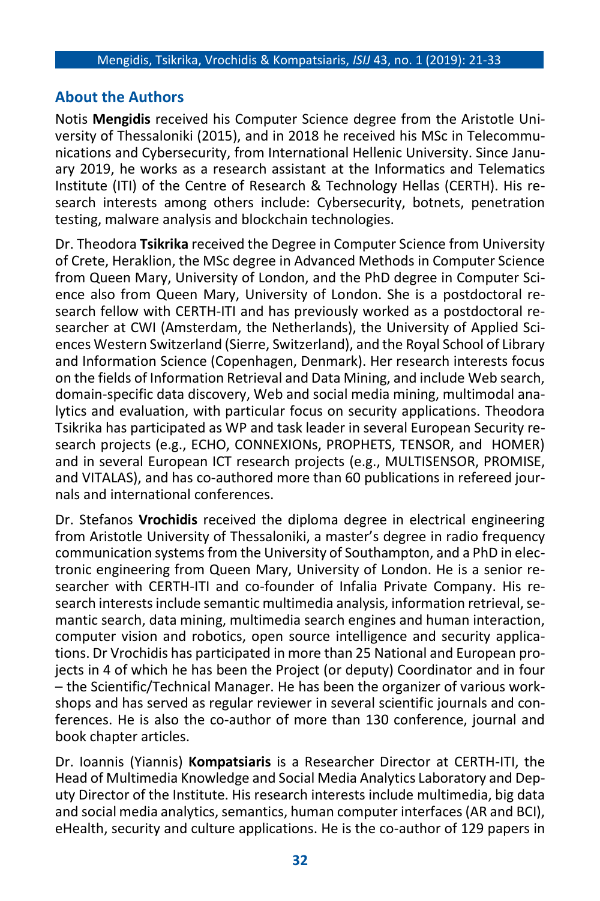## **About the Authors**

Notis **Mengidis** received his Computer Science degree from the Aristotle University of Thessaloniki (2015), and in 2018 he received his MSc in Telecommunications and Cybersecurity, from International Hellenic University. Since January 2019, he works as a research assistant at the Informatics and Telematics Institute (ITI) of the Centre of Research & Technology Hellas (CERTH). His research interests among others include: Cybersecurity, botnets, penetration testing, malware analysis and blockchain technologies.

Dr. Theodora **Tsikrika** received the Degree in Computer Science from University of Crete, Heraklion, the MSc degree in Advanced Methods in Computer Science from Queen Mary, University of London, and the PhD degree in Computer Science also from Queen Mary, University of London. She is a postdoctoral research fellow with CERTH-ITI and has previously worked as a postdoctoral researcher at CWI (Amsterdam, the Netherlands), the University of Applied Sciences Western Switzerland (Sierre, Switzerland), and the Royal School of Library and Information Science (Copenhagen, Denmark). Her research interests focus on the fields of Information Retrieval and Data Mining, and include Web search, domain-specific data discovery, Web and social media mining, multimodal analytics and evaluation, with particular focus on security applications. Theodora Tsikrika has participated as WP and task leader in several European Security research projects (e.g., ECHO, CONNEXIONs, PROPHETS, TENSOR, and HOMER) and in several European ICT research projects (e.g., MULTISENSOR, PROMISE, and VITALAS), and has co-authored more than 60 publications in refereed journals and international conferences.

Dr. Stefanos **Vrochidis** received the diploma degree in electrical engineering from Aristotle University of Thessaloniki, a master's degree in radio frequency communication systems from the University of Southampton, and a PhD in electronic engineering from Queen Mary, University of London. He is a senior researcher with CERTH-ITI and co-founder of Infalia Private Company. His research interests include semantic multimedia analysis, information retrieval, semantic search, data mining, multimedia search engines and human interaction, computer vision and robotics, open source intelligence and security applications. Dr Vrochidis has participated in more than 25 National and European projects in 4 of which he has been the Project (or deputy) Coordinator and in four – the Scientific/Technical Manager. He has been the organizer of various workshops and has served as regular reviewer in several scientific journals and conferences. He is also the co-author of more than 130 conference, journal and book chapter articles.

Dr. Ioannis (Yiannis) **Kompatsiaris** is a Researcher Director at CERTH-ITI, the Head of Multimedia Knowledge and Social Media Analytics Laboratory and Deputy Director of the Institute. His research interests include multimedia, big data and social media analytics, semantics, human computer interfaces (AR and BCI), eHealth, security and culture applications. He is the co-author of 129 papers in